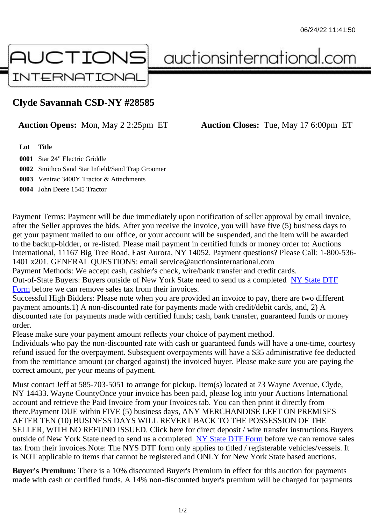## Clyde Savannah CSD-NY #28585

## Auction Opens: Mon, May 2 2:25pm ET Auction Closes: Tue, May 17 6:00pm ET

Lot Title

 Star 24" Electric Griddle Smithco Sand Star Infield/Sand Trap Groomer Ventrac 3400Y Tractor & Attachments John Deere 1545 Tractor

Payment Terms: Payment will be due immediately upon notification of seller approval by email invoice, after the Seller approves the bids. After you receive the invoice, you will have five (5) business days to get your payment mailed to our office, or your account will be suspended, and the item will be awarded to the backup-bidder, or re-listed. Please mail payment in certified funds or money order to: Auctions International, 11167 Big Tree Road, East Aurora, NY 14052. Payment questions? Please Call: 1-800-53 1401 x201. GENERAL QUESTIONS: email service@auctionsinternational.com Payment Methods: We accept cash, cashier's check, wire/bank transfer and credit cards.

Out-of-State Buyers: Buyers outside of New York State need to send us a com blestate DTF Form before we can remove sales tax from their invoices.

Successful High Bidders: Please note when you are provided an invoice to pay, there are two different payment amounts.1) A non-discounted rate for payments made with credit/de[bit cards, and](https://www.auctionsinternational.com/auxiliary/downloads/DTF_Form/dtf_fill_in.pdf), 2) A [disco](https://www.auctionsinternational.com/auxiliary/downloads/DTF_Form/dtf_fill_in.pdf)unted rate for payments made with certified funds; cash, bank transfer, guaranteed funds or mone order.

Please make sure your payment amount reflects your choice of payment method.

Individuals who pay the non-discounted rate with cash or guaranteed funds will have a one-time, courte refund issued for the overpayment. Subsequent overpayments will have a \$35 administrative fee deduc from the remittance amount (or charged against) the invoiced buyer. Please make sure you are paying correct amount, per your means of payment.

Must contact Jeff at 585-703-5051 to arrange for pickup. Item(s) located at 73 Wayne Avenue, Clyde, NY 14433. Wayne CountyOnce your invoice has been paid, please log into your Auctions International account and retrieve the Paid Invoice from your Invoices tab. You can then print it directly from there.Payment DUE within FIVE (5) business days, ANY MERCHANDISE LEFT ON PREMISES AFTER TEN (10) BUSINESS DAYS WILL REVERT BACK TO THE POSSESSION OF THE SELLER, WITH NO REFUND ISSUED. Click here for direct deposit / wire transfer instructions.Buyers outside of New York State need to send us a complete **State DTF Form** before we can remove sales tax from their invoices.Note: The NYS DTF form only applies to titled / registerable vehicles/vessels. It is NOT applicable to items that cannot be registered and ONLY for New York State based auctions.

Buyer's Premium: There is a 10% discounted Buye[r's Premium in effec](https://www.auctionsinternational.com/auxiliary/downloads/DTF_Form/dtf_fill_in.pdf)t for this auction for payments made with cash or certified funds. A 14% non-discounted buyer's premium will be charged for payments